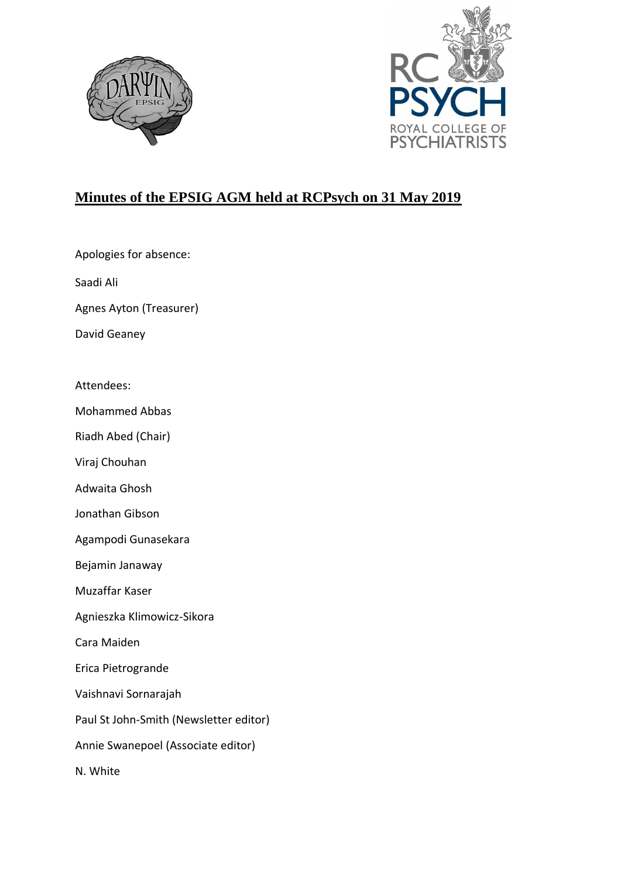



## **Minutes of the EPSIG AGM held at RCPsych on 31 May 2019**

Apologies for absence:

Saadi Ali

Agnes Ayton (Treasurer)

David Geaney

Attendees:

Mohammed Abbas

Riadh Abed (Chair)

Viraj Chouhan

Adwaita Ghosh

Jonathan Gibson

Agampodi Gunasekara

Bejamin Janaway

Muzaffar Kaser

Agnieszka Klimowicz-Sikora

Cara Maiden

Erica Pietrogrande

Vaishnavi Sornarajah

Paul St John-Smith (Newsletter editor)

Annie Swanepoel (Associate editor)

N. White